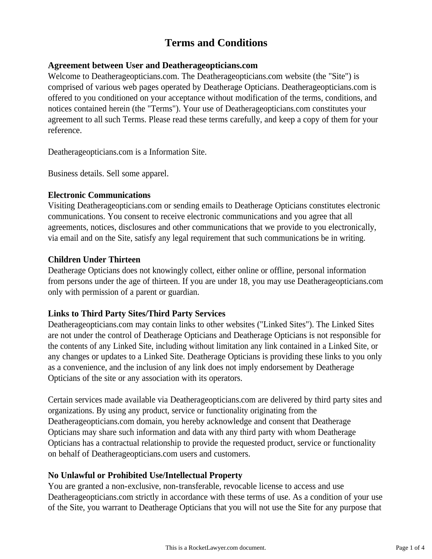# **Terms and Conditions**

### **Agreement between User and Deatherageopticians.com**

Welcome to Deatherageopticians.com. The Deatherageopticians.com website (the "Site") is comprised of various web pages operated by Deatherage Opticians. Deatherageopticians.com is offered to you conditioned on your acceptance without modification of the terms, conditions, and notices contained herein (the "Terms"). Your use of Deatherageopticians.com constitutes your agreement to all such Terms. Please read these terms carefully, and keep a copy of them for your reference.

Deatherageopticians.com is a Information Site.

Business details. Sell some apparel.

## **Electronic Communications**

Visiting Deatherageopticians.com or sending emails to Deatherage Opticians constitutes electronic communications. You consent to receive electronic communications and you agree that all agreements, notices, disclosures and other communications that we provide to you electronically, via email and on the Site, satisfy any legal requirement that such communications be in writing.

## **Children Under Thirteen**

Deatherage Opticians does not knowingly collect, either online or offline, personal information from persons under the age of thirteen. If you are under 18, you may use Deatherageopticians.com only with permission of a parent or guardian.

# **Links to Third Party Sites/Third Party Services**

Deatherageopticians.com may contain links to other websites ("Linked Sites"). The Linked Sites are not under the control of Deatherage Opticians and Deatherage Opticians is not responsible for the contents of any Linked Site, including without limitation any link contained in a Linked Site, or any changes or updates to a Linked Site. Deatherage Opticians is providing these links to you only as a convenience, and the inclusion of any link does not imply endorsement by Deatherage Opticians of the site or any association with its operators.

Certain services made available via Deatherageopticians.com are delivered by third party sites and organizations. By using any product, service or functionality originating from the Deatherageopticians.com domain, you hereby acknowledge and consent that Deatherage Opticians may share such information and data with any third party with whom Deatherage Opticians has a contractual relationship to provide the requested product, service or functionality on behalf of Deatherageopticians.com users and customers.

# **No Unlawful or Prohibited Use/Intellectual Property**

You are granted a non-exclusive, non-transferable, revocable license to access and use Deatherageopticians.com strictly in accordance with these terms of use. As a condition of your use of the Site, you warrant to Deatherage Opticians that you will not use the Site for any purpose that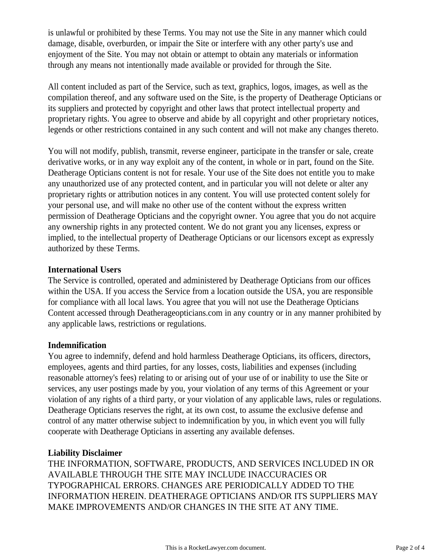is unlawful or prohibited by these Terms. You may not use the Site in any manner which could damage, disable, overburden, or impair the Site or interfere with any other party's use and enjoyment of the Site. You may not obtain or attempt to obtain any materials or information through any means not intentionally made available or provided for through the Site.

All content included as part of the Service, such as text, graphics, logos, images, as well as the compilation thereof, and any software used on the Site, is the property of Deatherage Opticians or its suppliers and protected by copyright and other laws that protect intellectual property and proprietary rights. You agree to observe and abide by all copyright and other proprietary notices, legends or other restrictions contained in any such content and will not make any changes thereto.

You will not modify, publish, transmit, reverse engineer, participate in the transfer or sale, create derivative works, or in any way exploit any of the content, in whole or in part, found on the Site. Deatherage Opticians content is not for resale. Your use of the Site does not entitle you to make any unauthorized use of any protected content, and in particular you will not delete or alter any proprietary rights or attribution notices in any content. You will use protected content solely for your personal use, and will make no other use of the content without the express written permission of Deatherage Opticians and the copyright owner. You agree that you do not acquire any ownership rights in any protected content. We do not grant you any licenses, express or implied, to the intellectual property of Deatherage Opticians or our licensors except as expressly authorized by these Terms.

#### **International Users**

The Service is controlled, operated and administered by Deatherage Opticians from our offices within the USA. If you access the Service from a location outside the USA, you are responsible for compliance with all local laws. You agree that you will not use the Deatherage Opticians Content accessed through Deatherageopticians.com in any country or in any manner prohibited by any applicable laws, restrictions or regulations.

#### **Indemnification**

You agree to indemnify, defend and hold harmless Deatherage Opticians, its officers, directors, employees, agents and third parties, for any losses, costs, liabilities and expenses (including reasonable attorney's fees) relating to or arising out of your use of or inability to use the Site or services, any user postings made by you, your violation of any terms of this Agreement or your violation of any rights of a third party, or your violation of any applicable laws, rules or regulations. Deatherage Opticians reserves the right, at its own cost, to assume the exclusive defense and control of any matter otherwise subject to indemnification by you, in which event you will fully cooperate with Deatherage Opticians in asserting any available defenses.

#### **Liability Disclaimer**

THE INFORMATION, SOFTWARE, PRODUCTS, AND SERVICES INCLUDED IN OR AVAILABLE THROUGH THE SITE MAY INCLUDE INACCURACIES OR TYPOGRAPHICAL ERRORS. CHANGES ARE PERIODICALLY ADDED TO THE INFORMATION HEREIN. DEATHERAGE OPTICIANS AND/OR ITS SUPPLIERS MAY MAKE IMPROVEMENTS AND/OR CHANGES IN THE SITE AT ANY TIME.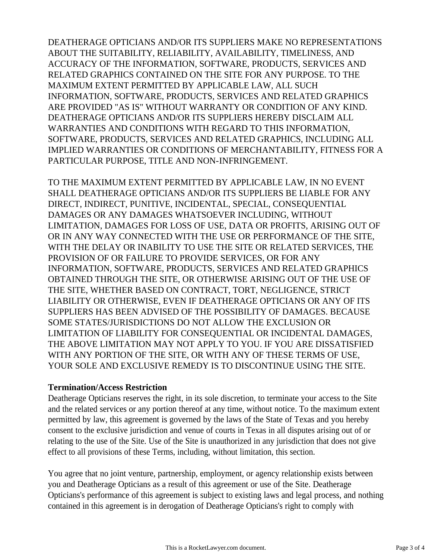DEATHERAGE OPTICIANS AND/OR ITS SUPPLIERS MAKE NO REPRESENTATIONS ABOUT THE SUITABILITY, RELIABILITY, AVAILABILITY, TIMELINESS, AND ACCURACY OF THE INFORMATION, SOFTWARE, PRODUCTS, SERVICES AND RELATED GRAPHICS CONTAINED ON THE SITE FOR ANY PURPOSE. TO THE MAXIMUM EXTENT PERMITTED BY APPLICABLE LAW, ALL SUCH INFORMATION, SOFTWARE, PRODUCTS, SERVICES AND RELATED GRAPHICS ARE PROVIDED "AS IS" WITHOUT WARRANTY OR CONDITION OF ANY KIND. DEATHERAGE OPTICIANS AND/OR ITS SUPPLIERS HEREBY DISCLAIM ALL WARRANTIES AND CONDITIONS WITH REGARD TO THIS INFORMATION, SOFTWARE, PRODUCTS, SERVICES AND RELATED GRAPHICS, INCLUDING ALL IMPLIED WARRANTIES OR CONDITIONS OF MERCHANTABILITY, FITNESS FOR A PARTICULAR PURPOSE, TITLE AND NON-INFRINGEMENT.

TO THE MAXIMUM EXTENT PERMITTED BY APPLICABLE LAW, IN NO EVENT SHALL DEATHERAGE OPTICIANS AND/OR ITS SUPPLIERS BE LIABLE FOR ANY DIRECT, INDIRECT, PUNITIVE, INCIDENTAL, SPECIAL, CONSEQUENTIAL DAMAGES OR ANY DAMAGES WHATSOEVER INCLUDING, WITHOUT LIMITATION, DAMAGES FOR LOSS OF USE, DATA OR PROFITS, ARISING OUT OF OR IN ANY WAY CONNECTED WITH THE USE OR PERFORMANCE OF THE SITE, WITH THE DELAY OR INABILITY TO USE THE SITE OR RELATED SERVICES, THE PROVISION OF OR FAILURE TO PROVIDE SERVICES, OR FOR ANY INFORMATION, SOFTWARE, PRODUCTS, SERVICES AND RELATED GRAPHICS OBTAINED THROUGH THE SITE, OR OTHERWISE ARISING OUT OF THE USE OF THE SITE, WHETHER BASED ON CONTRACT, TORT, NEGLIGENCE, STRICT LIABILITY OR OTHERWISE, EVEN IF DEATHERAGE OPTICIANS OR ANY OF ITS SUPPLIERS HAS BEEN ADVISED OF THE POSSIBILITY OF DAMAGES. BECAUSE SOME STATES/JURISDICTIONS DO NOT ALLOW THE EXCLUSION OR LIMITATION OF LIABILITY FOR CONSEQUENTIAL OR INCIDENTAL DAMAGES, THE ABOVE LIMITATION MAY NOT APPLY TO YOU. IF YOU ARE DISSATISFIED WITH ANY PORTION OF THE SITE, OR WITH ANY OF THESE TERMS OF USE, YOUR SOLE AND EXCLUSIVE REMEDY IS TO DISCONTINUE USING THE SITE.

#### **Termination/Access Restriction**

Deatherage Opticians reserves the right, in its sole discretion, to terminate your access to the Site and the related services or any portion thereof at any time, without notice. To the maximum extent permitted by law, this agreement is governed by the laws of the State of Texas and you hereby consent to the exclusive jurisdiction and venue of courts in Texas in all disputes arising out of or relating to the use of the Site. Use of the Site is unauthorized in any jurisdiction that does not give effect to all provisions of these Terms, including, without limitation, this section.

You agree that no joint venture, partnership, employment, or agency relationship exists between you and Deatherage Opticians as a result of this agreement or use of the Site. Deatherage Opticians's performance of this agreement is subject to existing laws and legal process, and nothing contained in this agreement is in derogation of Deatherage Opticians's right to comply with